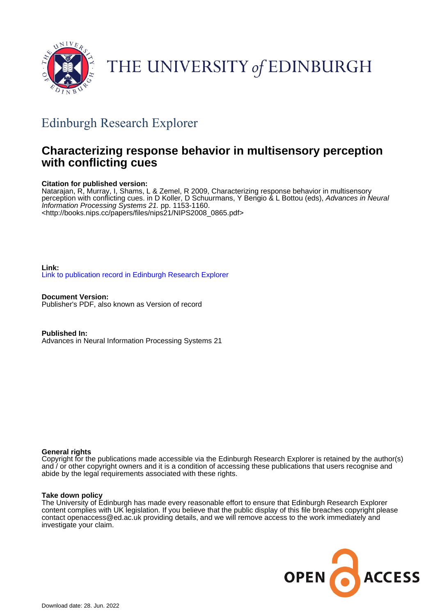

# THE UNIVERSITY of EDINBURGH

## Edinburgh Research Explorer

### **Characterizing response behavior in multisensory perception with conflicting cues**

#### **Citation for published version:**

Natarajan, R, Murray, I, Shams, L & Zemel, R 2009, Characterizing response behavior in multisensory perception with conflicting cues. in D Koller, D Schuurmans, Y Bengio & L Bottou (eds), Advances in Neural Information Processing Systems 21. pp. 1153-1160. <[http://books.nips.cc/papers/files/nips21/NIPS2008\\_0865.pdf](http://books.nips.cc/papers/files/nips21/NIPS2008_0865.pdf)>

**Link:** [Link to publication record in Edinburgh Research Explorer](https://www.research.ed.ac.uk/en/publications/83d209f0-e7ea-4be8-bd72-59d7bda37d00)

**Document Version:** Publisher's PDF, also known as Version of record

**Published In:** Advances in Neural Information Processing Systems 21

#### **General rights**

Copyright for the publications made accessible via the Edinburgh Research Explorer is retained by the author(s) and / or other copyright owners and it is a condition of accessing these publications that users recognise and abide by the legal requirements associated with these rights.

#### **Take down policy**

The University of Edinburgh has made every reasonable effort to ensure that Edinburgh Research Explorer content complies with UK legislation. If you believe that the public display of this file breaches copyright please contact openaccess@ed.ac.uk providing details, and we will remove access to the work immediately and investigate your claim.

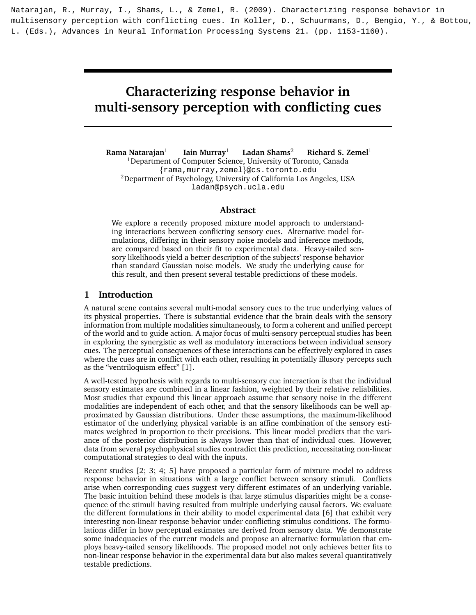Natarajan, R., Murray, I., Shams, L., & Zemel, R. (2009). Characterizing response behavior in multisensory perception with conflicting cues. In Koller, D., Schuurmans, D., Bengio, Y., & Bottou, L. (Eds.), Advances in Neural Information Processing Systems 21. (pp. 1153-1160).

### Characterizing response behavior in multi-sensory perception with conflicting cues

Rama Natarajan $1$ Iain Murray<sup>1</sup> Ladan Shams<sup>2</sup> Richard S. Zemel<sup>1</sup> <sup>1</sup>Department of Computer Science, University of Toronto, Canada {rama,murray,zemel}@cs.toronto.edu  $2$ Department of Psychology, University of California Los Angeles, USA ladan@psych.ucla.edu

#### Abstract

We explore a recently proposed mixture model approach to understanding interactions between conflicting sensory cues. Alternative model formulations, differing in their sensory noise models and inference methods, are compared based on their fit to experimental data. Heavy-tailed sensory likelihoods yield a better description of the subjects' response behavior than standard Gaussian noise models. We study the underlying cause for this result, and then present several testable predictions of these models.

#### 1 Introduction

A natural scene contains several multi-modal sensory cues to the true underlying values of its physical properties. There is substantial evidence that the brain deals with the sensory information from multiple modalities simultaneously, to form a coherent and unified percept of the world and to guide action. A major focus of multi-sensory perceptual studies has been in exploring the synergistic as well as modulatory interactions between individual sensory cues. The perceptual consequences of these interactions can be effectively explored in cases where the cues are in conflict with each other, resulting in potentially illusory percepts such as the "ventriloquism effect" [1].

A well-tested hypothesis with regards to multi-sensory cue interaction is that the individual sensory estimates are combined in a linear fashion, weighted by their relative reliabilities. Most studies that expound this linear approach assume that sensory noise in the different modalities are independent of each other, and that the sensory likelihoods can be well approximated by Gaussian distributions. Under these assumptions, the maximum-likelihood estimator of the underlying physical variable is an affine combination of the sensory estimates weighted in proportion to their precisions. This linear model predicts that the variance of the posterior distribution is always lower than that of individual cues. However, data from several psychophysical studies contradict this prediction, necessitating non-linear computational strategies to deal with the inputs.

Recent studies [2; 3; 4; 5] have proposed a particular form of mixture model to address response behavior in situations with a large conflict between sensory stimuli. Conflicts arise when corresponding cues suggest very different estimates of an underlying variable. The basic intuition behind these models is that large stimulus disparities might be a consequence of the stimuli having resulted from multiple underlying causal factors. We evaluate the different formulations in their ability to model experimental data [6] that exhibit very interesting non-linear response behavior under conflicting stimulus conditions. The formulations differ in how perceptual estimates are derived from sensory data. We demonstrate some inadequacies of the current models and propose an alternative formulation that employs heavy-tailed sensory likelihoods. The proposed model not only achieves better fits to non-linear response behavior in the experimental data but also makes several quantitatively testable predictions.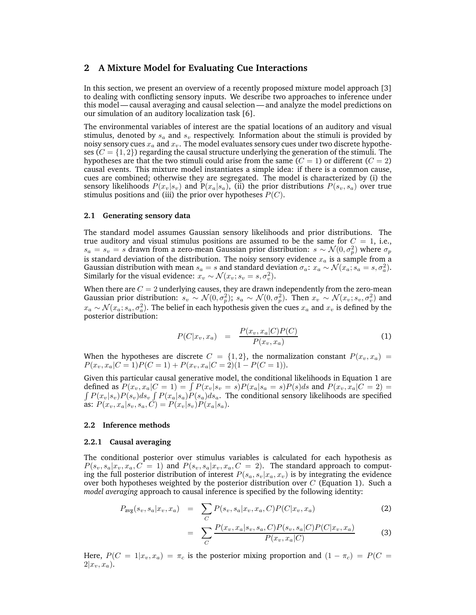#### 2 A Mixture Model for Evaluating Cue Interactions

In this section, we present an overview of a recently proposed mixture model approach [3] to dealing with conflicting sensory inputs. We describe two approaches to inference under this model— causal averaging and causal selection — and analyze the model predictions on our simulation of an auditory localization task [6].

The environmental variables of interest are the spatial locations of an auditory and visual stimulus, denoted by  $s_a$  and  $s_v$  respectively. Information about the stimuli is provided by noisy sensory cues  $x_a$  and  $x_v$ . The model evaluates sensory cues under two discrete hypotheses  $(C = \{1, 2\})$  regarding the causal structure underlying the generation of the stimuli. The hypotheses are that the two stimuli could arise from the same  $(C = 1)$  or different  $(C = 2)$ causal events. This mixture model instantiates a simple idea: if there is a common cause, cues are combined; otherwise they are segregated. The model is characterized by (i) the sensory likelihoods  $P(x_v|s_v)$  and  $P(x_a|s_a)$ , (ii) the prior distributions  $P(s_v, s_a)$  over true stimulus positions and (iii) the prior over hypotheses  $P(C)$ .

#### 2.1 Generating sensory data

The standard model assumes Gaussian sensory likelihoods and prior distributions. The true auditory and visual stimulus positions are assumed to be the same for  $C = 1$ , i.e.,  $s_a = s_v = s$  drawn from a zero-mean Gaussian prior distribution:  $s \sim \mathcal{N}(0, \sigma_p^2)$  where  $\sigma_p$ is standard deviation of the distribution. The noisy sensory evidence  $x_a$  is a sample from a Gaussian distribution with mean  $s_a = s$  and standard deviation  $\sigma_a$ :  $x_a \sim \mathcal{N}(x_a; s_a = s, \sigma_a^2)$ . Similarly for the visual evidence:  $x_v \sim \mathcal{N}(x_v; s_v = s, \sigma_v^2)$ .

When there are  $C = 2$  underlying causes, they are drawn independently from the zero-mean Gaussian prior distribution:  $s_v \sim \mathcal{N}(0, \sigma_p^2)$ ;  $s_a \sim \mathcal{N}(0, \sigma_p^2)$ . Then  $x_v \sim \mathcal{N}(x_v; s_v, \sigma_v^2)$  and  $x_a \sim \mathcal{N}(x_a; s_a, \sigma_a^2)$ . The belief in each hypothesis given the cues  $x_a$  and  $x_v$  is defined by the posterior distribution:

$$
P(C|x_v, x_a) = \frac{P(x_v, x_a|C)P(C)}{P(x_v, x_a)}
$$
(1)

When the hypotheses are discrete  $C = \{1, 2\}$ , the normalization constant  $P(x_v, x_a) =$  $P(x_v, x_a|C=1)P(C=1) + P(x_v, x_a|C=2)(1-P(C=1)).$ 

Given this particular causal generative model, the conditional likelihoods in Equation 1 are defined as  $P(x_v, x_a | C = 1) = \int P(x_v | s_v = s) P(x_a | s_a = s) P(s) ds$  and  $P(x_v, x_a | C = 2) =$  $\int P(x_v|s_v)P(s_v)ds_v \int P(x_a|s_a)P(s_a)ds_a$ . The conditional sensory likelihoods are specified as:  $P(x_v, x_a | s_v, s_a, C) = P(x_v | s_v) P(x_a | s_a)$ .

#### 2.2 Inference methods

#### 2.2.1 Causal averaging

The conditional posterior over stimulus variables is calculated for each hypothesis as  $P(s_v, s_a|x_v, x_a, C = 1)$  and  $P(s_v, s_a|x_v, x_a, C = 2)$ . The standard approach to computing the full posterior distribution of interest  $P(s_a, s_v|x_a, x_v)$  is by integrating the evidence over both hypotheses weighted by the posterior distribution over  $C$  (Equation 1). Such a model averaging approach to causal inference is specified by the following identity:

$$
P_{\text{avg}}(s_v, s_a | x_v, x_a) = \sum_C P(s_v, s_a | x_v, x_a, C) P(C | x_v, x_a)
$$
 (2)

$$
= \sum_{C} \frac{P(x_v, x_a | s_v, s_a, C) P(s_v, s_a | C) P(C | x_v, x_a)}{P(x_v, x_a | C)}
$$
(3)

Here,  $P(C = 1|x_v, x_a) = \pi_c$  is the posterior mixing proportion and  $(1 - \pi_c) = P(C = 1 + \pi_c)$  $2|x_v, x_a$ ).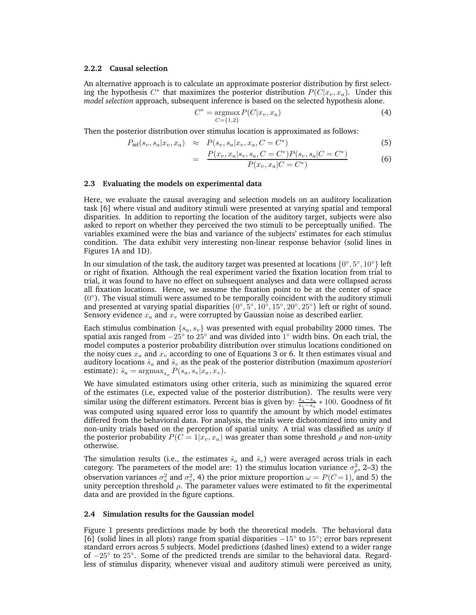#### 2.2.2 Causal selection

An alternative approach is to calculate an approximate posterior distribution by first selecting the hypothesis  $C^*$  that maximizes the posterior distribution  $P(C|x_v, x_a)$ . Under this model selection approach, subsequent inference is based on the selected hypothesis alone.

$$
C^* = \underset{C=\{1,2\}}{\text{argmax}} P(C|x_v, x_a)
$$
 (4)

Then the posterior distribution over stimulus location is approximated as follows:

$$
P_{\rm sel}(s_v, s_a | x_v, x_a) \approx P(s_v, s_a | x_v, x_a, C = C^*)
$$
\n
$$
(5)
$$

$$
= \frac{P(x_v, x_a | s_v, s_a, C = C^*) P(s_v, s_a | C = C^*)}{P(x_v, x_a | C = C^*)}
$$
(6)

#### 2.3 Evaluating the models on experimental data

Here, we evaluate the causal averaging and selection models on an auditory localization task [6] where visual and auditory stimuli were presented at varying spatial and temporal disparities. In addition to reporting the location of the auditory target, subjects were also asked to report on whether they perceived the two stimuli to be perceptually unified. The variables examined were the bias and variance of the subjects' estimates for each stimulus condition. The data exhibit very interesting non-linear response behavior (solid lines in Figures 1A and 1D).

In our simulation of the task, the auditory target was presented at locations  $\{0^\circ, 5^\circ, 10^\circ\}$  left or right of fixation. Although the real experiment varied the fixation location from trial to trial, it was found to have no effect on subsequent analyses and data were collapsed across all fixation locations. Hence, we assume the fixation point to be at the center of space (0 ◦ ). The visual stimuli were assumed to be temporally coincident with the auditory stimuli and presented at varying spatial disparities  ${0^\circ, 5^\circ, 10^\circ, 15^\circ, 20^\circ, 25^\circ}$  left or right of sound. Sensory evidence  $x_a$  and  $x_v$  were corrupted by Gaussian noise as described earlier.

Each stimulus combination  $\{s_a, s_v\}$  was presented with equal probability 2000 times. The spatial axis ranged from  $-25^{\circ}$  to  $25^{\circ}$  and was divided into 1° width bins. On each trial, the model computes a posterior probability distribution over stimulus locations conditioned on the noisy cues  $x_a$  and  $x_v$  according to one of Equations 3 or 6. It then estimates visual and auditory locations  $\hat{s}_a$  and  $\hat{s}_v$  as the peak of the posterior distribution (maximum aposteriori estimate):  $\hat{s}_a = \text{argmax}_{s_a} P(s_a, s_v | x_a, x_v)$ .

We have simulated estimators using other criteria, such as minimizing the squared error of the estimates (i.e, expected value of the posterior distribution). The results were very similar using the different estimators. Percent bias is given by:  $\frac{\hat{s}_a - s_a}{s_v - s_a} * 100$ . Goodness of fit was computed using squared error loss to quantify the amount by which model estimates differed from the behavioral data. For analysis, the trials were dichotomized into unity and non-unity trials based on the perception of spatial unity. A trial was classified as unity if the posterior probability  $P(C = 1|x_v, x_a)$  was greater than some threshold  $\rho$  and non-unity otherwise.

The simulation results (i.e., the estimates  $\hat{s}_a$  and  $\hat{s}_v$ ) were averaged across trials in each category. The parameters of the model are: 1) the stimulus location variance  $\sigma_p^2$ , 2–3) the observation variances  $\sigma_a^2$  and  $\sigma_v^2$ , 4) the prior mixture proportion  $\omega = P(C=1)$ , and 5) the unity perception threshold  $\rho$ . The parameter values were estimated to fit the experimental data and are provided in the figure captions.

#### 2.4 Simulation results for the Gaussian model

Figure 1 presents predictions made by both the theoretical models. The behavioral data [6] (solid lines in all plots) range from spatial disparities  $-15°$  to 15°; error bars represent standard errors across 5 subjects. Model predictions (dashed lines) extend to a wider range of  $-25^\circ$  to  $25^\circ$ . Some of the predicted trends are similar to the behavioral data. Regardless of stimulus disparity, whenever visual and auditory stimuli were perceived as unity,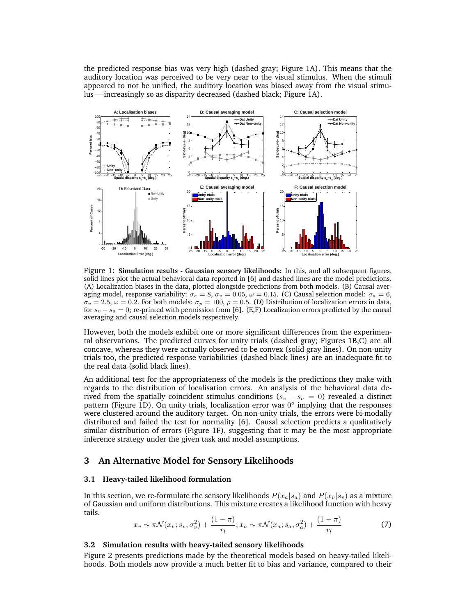the predicted response bias was very high (dashed gray; Figure 1A). This means that the auditory location was perceived to be very near to the visual stimulus. When the stimuli appeared to not be unified, the auditory location was biased away from the visual stimulus — increasingly so as disparity decreased (dashed black; Figure 1A).



Figure 1: Simulation results - Gaussian sensory likelihoods: In this, and all subsequent figures, solid lines plot the actual behavioral data reported in [6] and dashed lines are the model predictions. (A) Localization biases in the data, plotted alongside predictions from both models. (B) Causal averaging model, response variability:  $\sigma_a = 8$ ,  $\sigma_v = 0.05$ ,  $\omega = 0.15$ . (C) Causal selection model:  $\sigma_a = 6$ ,  $\sigma_v = 2.5, \omega = 0.2$ . For both models:  $\sigma_p = 100, \rho = 0.5$ . (D) Distribution of localization errors in data, for  $s_v - s_a = 0$ ; re-printed with permission from [6]. (E,F) Localization errors predicted by the causal averaging and causal selection models respectively.

However, both the models exhibit one or more significant differences from the experimental observations. The predicted curves for unity trials (dashed gray; Figures 1B,C) are all concave, whereas they were actually observed to be convex (solid gray lines). On non-unity trials too, the predicted response variabilities (dashed black lines) are an inadequate fit to the real data (solid black lines).

An additional test for the appropriateness of the models is the predictions they make with regards to the distribution of localisation errors. An analysis of the behavioral data derived from the spatially coincident stimulus conditions ( $s_v - s_a = 0$ ) revealed a distinct pattern (Figure 1D). On unity trials, localization error was  $0^{\circ}$  implying that the responses were clustered around the auditory target. On non-unity trials, the errors were bi-modally distributed and failed the test for normality [6]. Causal selection predicts a qualitatively similar distribution of errors (Figure 1F), suggesting that it may be the most appropriate inference strategy under the given task and model assumptions.

#### 3 An Alternative Model for Sensory Likelihoods

#### 3.1 Heavy-tailed likelihood formulation

In this section, we re-formulate the sensory likelihoods  $P(x_a|s_a)$  and  $P(x_v|s_v)$  as a mixture of Gaussian and uniform distributions. This mixture creates a likelihood function with heavy tails.

$$
x_v \sim \pi \mathcal{N}(x_v; s_v, \sigma_v^2) + \frac{(1-\pi)}{r_l}; x_a \sim \pi \mathcal{N}(x_a; s_a, \sigma_a^2) + \frac{(1-\pi)}{r_l}
$$
(7)

#### 3.2 Simulation results with heavy-tailed sensory likelihoods

Figure 2 presents predictions made by the theoretical models based on heavy-tailed likelihoods. Both models now provide a much better fit to bias and variance, compared to their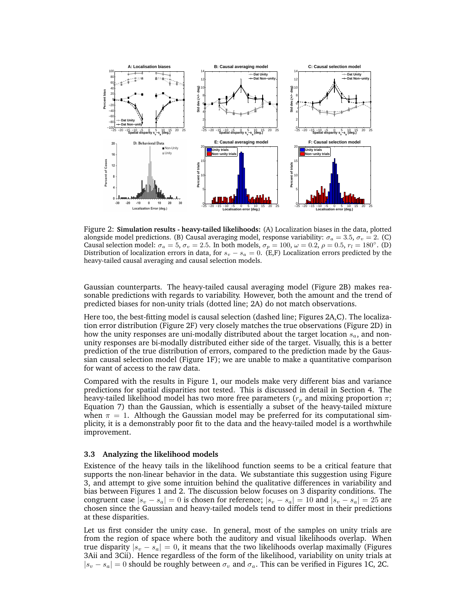

Figure 2: Simulation results - heavy-tailed likelihoods: (A) Localization biases in the data, plotted alongside model predictions. (B) Causal averaging model, response variability:  $\sigma_a = 3.5$ ,  $\sigma_v = 2$ . (C) Causal selection model:  $\sigma_a = 5$ ,  $\sigma_v = 2.5$ . In both models,  $\sigma_p = 100$ ,  $\omega = 0.2$ ,  $\rho = 0.5$ ,  $r_l = 180^\circ$ . (D) Distribution of localization errors in data, for  $s_v - s_a = 0$ . (E,F) Localization errors predicted by the heavy-tailed causal averaging and causal selection models.

Gaussian counterparts. The heavy-tailed causal averaging model (Figure 2B) makes reasonable predictions with regards to variability. However, both the amount and the trend of predicted biases for non-unity trials (dotted line; 2A) do not match observations.

Here too, the best-fitting model is causal selection (dashed line; Figures 2A,C). The localization error distribution (Figure 2F) very closely matches the true observations (Figure 2D) in how the unity responses are uni-modally distributed about the target location  $s_a$ , and nonunity responses are bi-modally distributed either side of the target. Visually, this is a better prediction of the true distribution of errors, compared to the prediction made by the Gaussian causal selection model (Figure 1F); we are unable to make a quantitative comparison for want of access to the raw data.

Compared with the results in Figure 1, our models make very different bias and variance predictions for spatial disparities not tested. This is discussed in detail in Section 4. The heavy-tailed likelihood model has two more free parameters ( $r_p$  and mixing proportion  $\pi$ ; Equation 7) than the Gaussian, which is essentially a subset of the heavy-tailed mixture when  $\pi = 1$ . Although the Gaussian model may be preferred for its computational simplicity, it is a demonstrably poor fit to the data and the heavy-tailed model is a worthwhile improvement.

#### 3.3 Analyzing the likelihood models

Existence of the heavy tails in the likelihood function seems to be a critical feature that supports the non-linear behavior in the data. We substantiate this suggestion using Figure 3, and attempt to give some intuition behind the qualitative differences in variability and bias between Figures 1 and 2. The discussion below focuses on 3 disparity conditions. The congruent case  $|s_v - s_a| = 0$  is chosen for reference;  $|s_v - s_a| = 10$  and  $|s_v - s_a| = 25$  are chosen since the Gaussian and heavy-tailed models tend to differ most in their predictions at these disparities.

Let us first consider the unity case. In general, most of the samples on unity trials are from the region of space where both the auditory and visual likelihoods overlap. When true disparity  $|s_v - s_a| = 0$ , it means that the two likelihoods overlap maximally (Figures 3Aii and 3Cii). Hence regardless of the form of the likelihood, variability on unity trials at  $|s_v - s_a| = 0$  should be roughly between  $\sigma_v$  and  $\sigma_a$ . This can be verified in Figures 1C, 2C.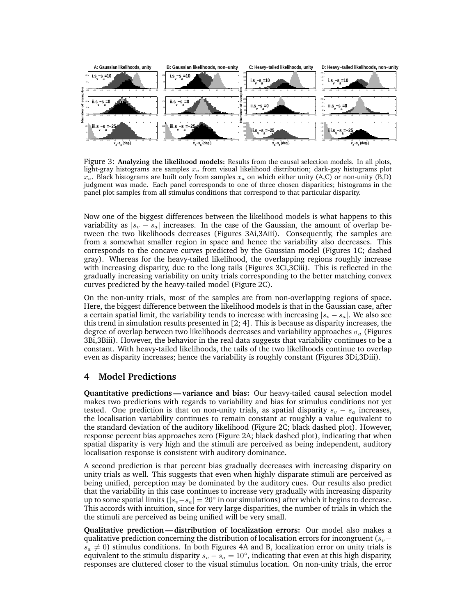

Figure 3: Analyzing the likelihood models: Results from the causal selection models. In all plots, light-gray histograms are samples  $x_v$  from visual likelihood distribution; dark-gay histograms plot  $x_a$ . Black histograms are built only from samples  $x_a$  on which either unity (A,C) or non-unity (B,D) judgment was made. Each panel corresponds to one of three chosen disparities; histograms in the panel plot samples from all stimulus conditions that correspond to that particular disparity.

Now one of the biggest differences between the likelihood models is what happens to this variability as  $|s_v - s_a|$  increases. In the case of the Gaussian, the amount of overlap between the two likelihoods decreases (Figures 3Ai,3Aiii). Consequently, the samples are from a somewhat smaller region in space and hence the variability also decreases. This corresponds to the concave curves predicted by the Gaussian model (Figures 1C; dashed gray). Whereas for the heavy-tailed likelihood, the overlapping regions roughly increase with increasing disparity, due to the long tails (Figures 3Ci,3Ciii). This is reflected in the gradually increasing variability on unity trials corresponding to the better matching convex curves predicted by the heavy-tailed model (Figure 2C).

On the non-unity trials, most of the samples are from non-overlapping regions of space. Here, the biggest difference between the likelihood models is that in the Gaussian case, after a certain spatial limit, the variability tends to increase with increasing  $|s_v - s_a|$ . We also see this trend in simulation results presented in [2; 4]. This is because as disparity increases, the degree of overlap between two likelihoods decreases and variability approaches  $\sigma_a$  (Figures 3Bi,3Biii). However, the behavior in the real data suggests that variability continues to be a constant. With heavy-tailed likelihoods, the tails of the two likelihoods continue to overlap even as disparity increases; hence the variability is roughly constant (Figures 3Di,3Diii).

#### 4 Model Predictions

Quantitative predictions — variance and bias: Our heavy-tailed causal selection model makes two predictions with regards to variability and bias for stimulus conditions not yet tested. One prediction is that on non-unity trials, as spatial disparity  $s_v - s_a$  increases, the localisation variability continues to remain constant at roughly a value equivalent to the standard deviation of the auditory likelihood (Figure 2C; black dashed plot). However, response percent bias approaches zero (Figure 2A; black dashed plot), indicating that when spatial disparity is very high and the stimuli are perceived as being independent, auditory localisation response is consistent with auditory dominance.

A second prediction is that percent bias gradually decreases with increasing disparity on unity trials as well. This suggests that even when highly disparate stimuli are perceived as being unified, perception may be dominated by the auditory cues. Our results also predict that the variability in this case continues to increase very gradually with increasing disparity up to some spatial limits ( $|s_v-s_a|=20^\circ$  in our simulations) after which it begins to decrease. This accords with intuition, since for very large disparities, the number of trials in which the the stimuli are perceived as being unified will be very small.

Qualitative prediction— distribution of localization errors: Our model also makes a qualitative prediction concerning the distribution of localisation errors for incongruent ( $s_v$ −  $s_a \neq 0$ ) stimulus conditions. In both Figures 4A and B, localization error on unity trials is equivalent to the stimulu disparity  $s_v - s_a = 10^\circ$ , indicating that even at this high disparity, responses are cluttered closer to the visual stimulus location. On non-unity trials, the error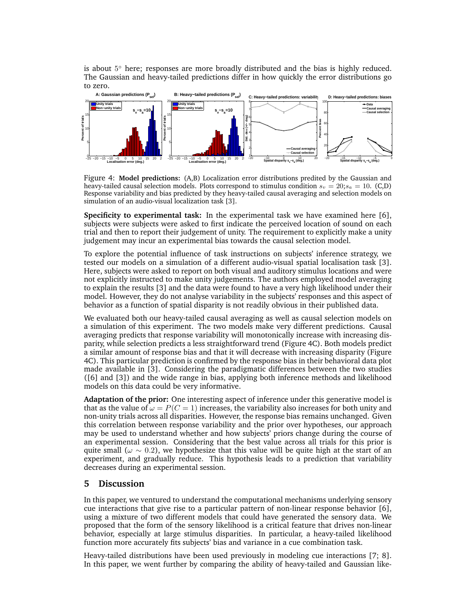is about 5 ◦ here; responses are more broadly distributed and the bias is highly reduced. The Gaussian and heavy-tailed predictions differ in how quickly the error distributions go to zero.



Figure 4: Model predictions: (A,B) Localization error distributions predited by the Gaussian and heavy-tailed causal selection models. Plots correspond to stimulus condition  $s_v = 20$ ;  $s_a = 10$ . (C,D) Response variability and bias predicted by they heavy-tailed causal averaging and selection models on simulation of an audio-visual localization task [3].

Specificity to experimental task: In the experimental task we have examined here [6], subjects were subjects were asked to first indicate the perceived location of sound on each trial and then to report their judgement of unity. The requirement to explicitly make a unity judgement may incur an experimental bias towards the causal selection model.

To explore the potential influence of task instructions on subjects' inference strategy, we tested our models on a simulation of a different audio-visual spatial localisation task [3]. Here, subjects were asked to report on both visual and auditory stimulus locations and were not explicitly instructed to make unity judgements. The authors employed model averaging to explain the results [3] and the data were found to have a very high likelihood under their model. However, they do not analyse variability in the subjects' responses and this aspect of behavior as a function of spatial disparity is not readily obvious in their published data.

We evaluated both our heavy-tailed causal averaging as well as causal selection models on a simulation of this experiment. The two models make very different predictions. Causal averaging predicts that response variability will monotonically increase with increasing disparity, while selection predicts a less straightforward trend (Figure 4C). Both models predict a similar amount of response bias and that it will decrease with increasing disparity (Figure 4C). This particular prediction is confirmed by the response bias in their behavioral data plot made available in [3]. Considering the paradigmatic differences between the two studies ([6] and [3]) and the wide range in bias, applying both inference methods and likelihood models on this data could be very informative.

Adaptation of the prior: One interesting aspect of inference under this generative model is that as the value of  $\omega = P(C = 1)$  increases, the variability also increases for both unity and non-unity trials across all disparities. However, the response bias remains unchanged. Given this correlation between response variability and the prior over hypotheses, our approach may be used to understand whether and how subjects' priors change during the course of an experimental session. Considering that the best value across all trials for this prior is quite small ( $\omega \sim 0.2$ ), we hypothesize that this value will be quite high at the start of an experiment, and gradually reduce. This hypothesis leads to a prediction that variability decreases during an experimental session.

#### 5 Discussion

In this paper, we ventured to understand the computational mechanisms underlying sensory cue interactions that give rise to a particular pattern of non-linear response behavior [6], using a mixture of two different models that could have generated the sensory data. We proposed that the form of the sensory likelihood is a critical feature that drives non-linear behavior, especially at large stimulus disparities. In particular, a heavy-tailed likelihood function more accurately fits subjects' bias and variance in a cue combination task.

Heavy-tailed distributions have been used previously in modeling cue interactions [7; 8]. In this paper, we went further by comparing the ability of heavy-tailed and Gaussian like-